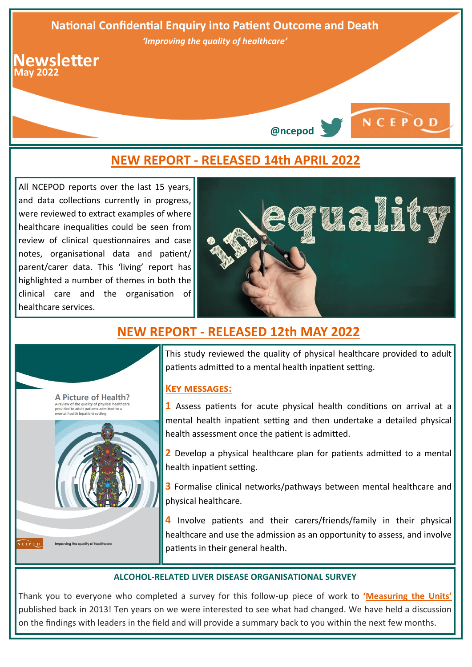



All NCEPOD reports over the last 15 years, and data collections currently in progress, were reviewed to extract examples of where healthcare inequalities could be seen from review of clinical questionnaires and case notes, organisational data and patient/ parent/carer data. This 'living' report has highlighted a number of themes in both the clinical care and the organisation of healthcare services.



**@ncepod**

NCEPOD

# **NEW REPORT - [RELEASED 12th MAY 2022](https://www.ncepod.org.uk/2022phmh.html)**



This study reviewed the quality of physical healthcare provided to adult patients admitted to a mental health inpatient setting.

# **[Key messages:](https://www.ncepod.org.uk/2022phmh/A%20Picture%20of%20Health_Infographic.pdf)**

**1** Assess patients for acute physical health conditions on arrival at a mental health inpatient setting and then undertake a detailed physical health assessment once the patient is admitted.

**2** Develop a physical healthcare plan for patients admitted to a mental health inpatient setting.

**3** Formalise clinical networks/pathways between mental healthcare and physical healthcare.

**4** Involve patients and their carers/friends/family in their physical healthcare and use the admission as an opportunity to assess, and involve patients in their general health.

### **ALCOHOL-RELATED LIVER DISEASE ORGANISATIONAL SURVEY**

Thank you to everyone who completed a survey for this follow-up piece of work to **'[Measuring the Units](https://www.ncepod.org.uk/2013arld.html)'** published back in 2013! Ten years on we were interested to see what had changed. We have held a discussion on the findings with leaders in the field and will provide a summary back to you within the next few months.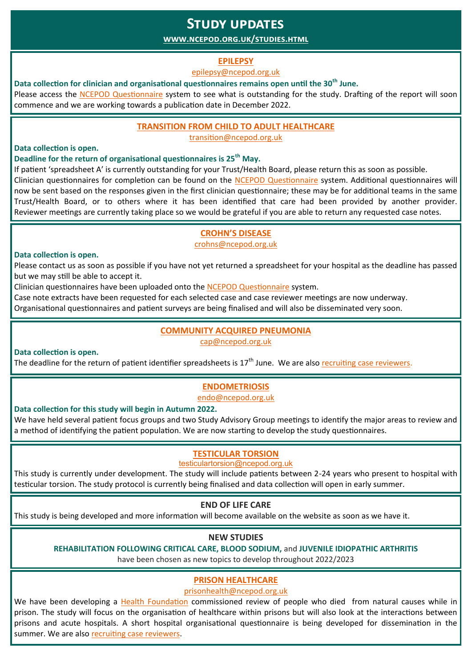# **Study updates**

# **[www.ncepod.org.uk/studies.html](http://www.ncepod.org.uk/studies.html)**

## **[EPILEPSY](http://www.ncepod.org.uk/epilepsy.html)**

#### [epilepsy@ncepod.org.uk](mailto:epilepsy@ncepod.org.uk)

## **Data collection for clinician and organisational questionnaires remains open until the 30th June.**

Please access the [NCEPOD Questionnaire](https://questionnaires.ncepod.org.uk/app/#/authentication/login) system to see what is outstanding for the study. Drafting of the report will soon commence and we are working towards a publication date in December 2022.

## **[TRANSITION FROM CHILD TO ADULT HEALTHCARE](http://www.ncepod.org.uk/transition.html)**

[transition@ncepod.org.uk](mailto:transition@ncepod.org.uk)

### **Data collection is open.**

## **Deadline for the return of organisational questionnaires is 25th May.**

If patient 'spreadsheet A' is currently outstanding for your Trust/Health Board, please return this as soon as possible.

Clinician questionnaires for completion can be found on the [NCEPOD Questionnaire](https://questionnaires.ncepod.org.uk/app/#/authentication/login) system. Additional questionnaires will now be sent based on the responses given in the first clinician questionnaire; these may be for additional teams in the same Trust/Health Board, or to others where it has been identified that care had been provided by another provider. Reviewer meetings are currently taking place so we would be grateful if you are able to return any requested case notes.

# **CROHN'[S DISEASE](https://www.ncepod.org.uk/crohns.html)**

[crohns@ncepod.org.uk](mailto:crohns@ncepod.org.uk)

#### **Data collection is open.**

Please contact us as soon as possible if you have not yet returned a spreadsheet for your hospital as the deadline has passed but we may still be able to accept it.

Clinician questionnaires have been uploaded onto the [NCEPOD Questionnaire](https://questionnaires.ncepod.org.uk/app/#/authentication/login) system.

Case note extracts have been requested for each selected case and case reviewer meetings are now underway.

Organisational questionnaires and patient surveys are being finalised and will also be disseminated very soon.

# **[COMMUNITY ACQUIRED PNEUMONIA](http://www.ncepod.org.uk/cap.html)**

[cap@ncepod.org.uk](mailto::cap@ncepod.org.uk) 

#### **Data collection is open.**

The deadline for the return of patient identifier spreadsheets is  $17<sup>th</sup>$  June. We are also [recruiting case reviewers.](https://www.ncepod.org.uk/pdf/current/CAP/CAP_Case_Reviewer_Advert.pdf)

# **[ENDOMETRIOSIS](https://www.ncepod.org.uk/endometriosis.html)**

[endo@ncepod.org.uk](mailto:endo@ncepod.org.uk)

### **Data collection for this study will begin in Autumn 2022.**

We have held several patient focus groups and two Study Advisory Group meetings to identify the major areas to review and a method of identifying the patient population. We are now starting to develop the study questionnaires.

# **[TESTICULAR TORSION](http://www.ncepod.org.uk/Testicular_Torsion.html)**

## [testiculartorsion@ncepod.org.uk](mailto:testiculartorsion@ncepod.org.uk)

This study is currently under development. The study will include patients between 2-24 years who present to hospital with testicular torsion. The study protocol is currently being finalised and data collection will open in early summer.

### **END OF LIFE CARE**

This study is being developed and more information will become available on the website as soon as we have it.

# **NEW STUDIES**

### **REHABILITATION FOLLOWING CRITICAL CARE, BLOOD SODIUM,** and **JUVENILE IDIOPATHIC ARTHRITIS**

have been chosen as new topics to develop throughout 2022/2023

# **[PRISON HEALTHCARE](https://www.ncepod.org.uk/Prisonhealth.html)**

[prisonhealth@ncepod.org.uk](mailto:prisonhealth@ncepod.org.uk)

We have been developing a [Health Foundation](https://health.org.uk/) commissioned review of people who died from natural causes while in prison. The study will focus on the organisation of healthcare within prisons but will also look at the interactions between prisons and acute hospitals. A short hospital organisational questionnaire is being developed for dissemination in the summer. We are also [recruiting case reviewers.](https://www.ncepod.org.uk/pdf/current/PrisonHealthCare/Prison%20Healthcare%20Reviewer%20Advert.pdf)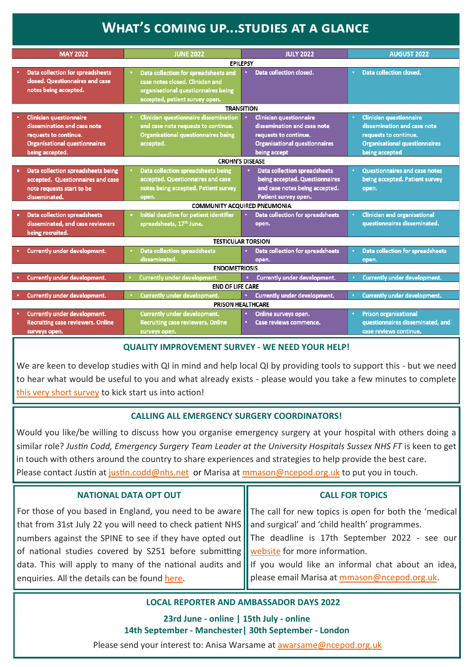# **What's coming up...studies at a glance**

|                                                           | <b>MAY 2022</b>                                                            | <b>JUNE 2022</b>                           | <b>JULY 2022</b>                                   | <b>AUGUST 2022</b>                      |
|-----------------------------------------------------------|----------------------------------------------------------------------------|--------------------------------------------|----------------------------------------------------|-----------------------------------------|
| <b>EPILEPSY</b>                                           |                                                                            |                                            |                                                    |                                         |
| Data collection closed.<br><b>Data collection closed.</b> |                                                                            |                                            |                                                    |                                         |
|                                                           | <b>Data collection for spreadsheets</b><br>closed. Questionnaires and case | Data collection for spreadsheets and       |                                                    |                                         |
|                                                           |                                                                            | case notes closed. Clinician and           |                                                    |                                         |
|                                                           | notes being accepted.                                                      | organisational questionnaires being        |                                                    |                                         |
|                                                           |                                                                            | accepted, patient survey open.             |                                                    |                                         |
| <b>TRANSITION</b>                                         |                                                                            |                                            |                                                    |                                         |
|                                                           | <b>Clinician questionnaire</b>                                             | Clinician questionnaire dissemination      | <b>Clinician questionnaire</b>                     | <b>Clinician questionnaire</b>          |
|                                                           | dissemination and case note                                                | and case note requests to continue.        | dissemination and case note                        | dissemination and case note             |
|                                                           | requests to continue.                                                      | <b>Organisational questionnaires being</b> | requests to continue.                              | requests to continue.                   |
|                                                           | <b>Organisational questionnaires</b>                                       | accepted.                                  | <b>Organisational questionnaires</b>               | <b>Organisational questionnaires</b>    |
|                                                           | being accepted.                                                            |                                            | being accept                                       | being accepted                          |
| <b>CROHN'S DISEASE</b>                                    |                                                                            |                                            |                                                    |                                         |
|                                                           | Data collection spreadsheets being                                         | Data collection spreadsheets being         | <b>Data collection spreadsheets</b>                | <b>Questionnaires and case notes</b>    |
|                                                           | accepted. Questionnaires and case                                          | accepted. Questionnaires and case          | being accepted. Questionnaires                     | being accepted. Patient survey          |
|                                                           | note requests start to be                                                  | notes being accepted. Patient survey       | and case notes being accepted.                     | open.                                   |
|                                                           | disseminated.                                                              | open.                                      | Patient survey open.                               |                                         |
| <b>COMMUNITY ACQUIRED PNEUMONIA</b>                       |                                                                            |                                            |                                                    |                                         |
|                                                           | <b>Data collection spreadsheets</b>                                        | Initial deadline for patient identifier    | Data collection for spreadsheets                   | <b>Clinician and organisational</b>     |
|                                                           | disseminated, and case reviewers                                           | spreadsheets, 17th June.                   | open.                                              | questionnaires disseminated.            |
|                                                           | being recruited.                                                           |                                            |                                                    |                                         |
| <b>TESTICULAR TORSION</b>                                 |                                                                            |                                            |                                                    |                                         |
|                                                           | <b>Currently under development.</b>                                        | <b>Data collection spreadsheets</b>        | <b>Data collection for spreadsheets</b>            | <b>Data collection for spreadsheets</b> |
|                                                           |                                                                            | disseminated.                              | open.                                              | open.                                   |
| <b>ENDOMETRIOSIS</b>                                      |                                                                            |                                            |                                                    |                                         |
|                                                           | <b>Currently under development.</b>                                        | Currently under development.               | Currently under development.<br>$\bullet$ .        | <b>Currently under development.</b>     |
| <b>END OF LIFE CARE</b>                                   |                                                                            |                                            |                                                    |                                         |
|                                                           | <b>Currently under development.</b>                                        | <b>Currently under development.</b>        | <b>Currently under development.</b><br>$\bullet$ . | <b>Currently under development.</b>     |
| PRISON HEALTHCARE                                         |                                                                            |                                            |                                                    |                                         |
|                                                           | <b>Currently under development.</b>                                        | <b>Currently under development.</b>        | Online surveys open.                               | <b>Prison organisational</b>            |
|                                                           | <b>Recruiting case reviewers. Online</b>                                   | <b>Recruiting case reviewers. Online</b>   | Case reviews commence.                             | questionnaires disseminated, and        |
|                                                           | surveys open.                                                              | surveys open.                              |                                                    | case reviews continue.                  |

### **QUALITY IMPROVEMENT SURVEY - WE NEED YOUR HELP!**

We are keen to develop studies with QI in mind and help local QI by providing tools to support this - but we need to hear what would be useful to you and what already exists - please would you take a few minutes to complete [this very short survey](https://ncepod.qualtrics.com/jfe/form/SV_7THqIqmJcat9eOa) to kick start us into action!

# **CALLING ALL EMERGENCY SURGERY COORDINATORS!**

Would you like/be willing to discuss how you organise emergency surgery at your hospital with others doing a similar role? Justin Codd, Emergency Surgery Team Leader at the University Hospitals Sussex NHS FT is keen to get in touch with others around the country to share experiences and strategies to help provide the best care. Please contact Justin at [justin.codd@nhs.net](mailto:justin.codd@nhs.net) or Marisa at [mmason@ncepod.org.uk](mailto:mmason@ncepod.org.uk) to put you in touch.

| <b>NATIONAL DATA OPT OUT</b>                                                                                              | <b>CALL FOR TOPICS</b>                       |  |
|---------------------------------------------------------------------------------------------------------------------------|----------------------------------------------|--|
| For those of you based in England, you need to be aware $\ \cdot\ $ The call for new topics is open for both the 'medical |                                              |  |
| that from 31st July 22 you will need to check patient NHS $\parallel$ and surgical' and 'child health' programmes.        |                                              |  |
| numbers against the SPINE to see if they have opted out    The deadline is 17th September 2022 - see our                  |                                              |  |
| of national studies covered by S251 before submitting <b>lease to the Soluty Step</b> for more information.               |                                              |  |
| data. This will apply to many of the national audits and    If you would like an informal chat about an idea,             |                                              |  |
| enquiries. All the details can be found here.                                                                             | please email Marisa at mmason@ncepod.org.uk. |  |
|                                                                                                                           |                                              |  |

# **LOCAL REPORTER AND AMBASSADOR DAYS 2022**

**23rd June - online | 15th July - online 14th September - Manchester| 30th September - London** 

Please send your interest to: Anisa Warsame at [awarsame@ncepod.org.uk](mailto:awarsame@ncepod.org.uk)